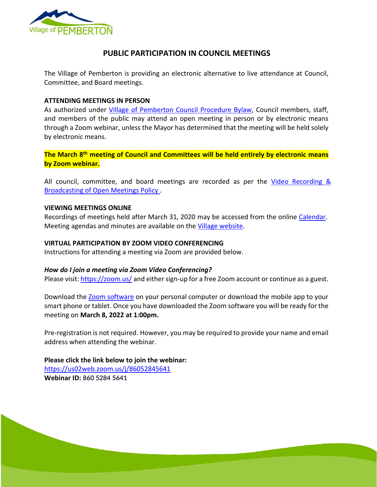

# **PUBLIC PARTICIPATION IN COUNCIL MEETINGS**

The Village of Pemberton is providing an electronic alternative to live attendance at Council, Committee, and Board meetings.

#### **ATTENDING MEETINGS IN PERSON**

As authorized under [Village of Pemberton Council Procedure Bylaw,](https://www.pemberton.ca/public/download/files/194951) Council members, staff, and members of the public may attend an open meeting in person or by electronic means through a Zoom webinar, unless the Mayor has determined that the meeting will be held solely by electronic means.

**The March 8th meeting of Council and Committees will be held entirely by electronic means by Zoom webinar.**

All council, committee, and board meetings are recorded as per the Video Recording & [Broadcasting of Open Meetings Policy .](https://www.pemberton.ca/public/download/files/118762)

### **VIEWING MEETINGS ONLINE**

Recordings of meetings held after March 31, 2020 may be accessed from the online [Calendar.](https://www.pemberton.ca/municipal-services/calendar) Meeting agendas and minutes are available on the [Village website.](https://www.pemberton.ca/government/documents#category/2769)

### **VIRTUAL PARTICIPATION BY ZOOM VIDEO CONFERENCING**

Instructions for attending a meeting via Zoom are provided below.

## *How do I join a meeting via Zoom Video Conferencing?*

Please visit:<https://zoom.us/> and either sign-up for a free Zoom account or continue as a guest.

Download the [Zoom software](https://zoom.us/download) on your personal computer or download the mobile app to your smart phone or tablet. Once you have downloaded the Zoom software you will be ready for the meeting on **March 8, 2022 at 1:00pm.** 

Pre-registration is not required. However, you may be required to provide your name and email address when attending the webinar.

Page 1 of 2

**Please click the link below to join the webinar:** <https://us02web.zoom.us/j/86052845641> **Webinar ID: 860 5284 5641**